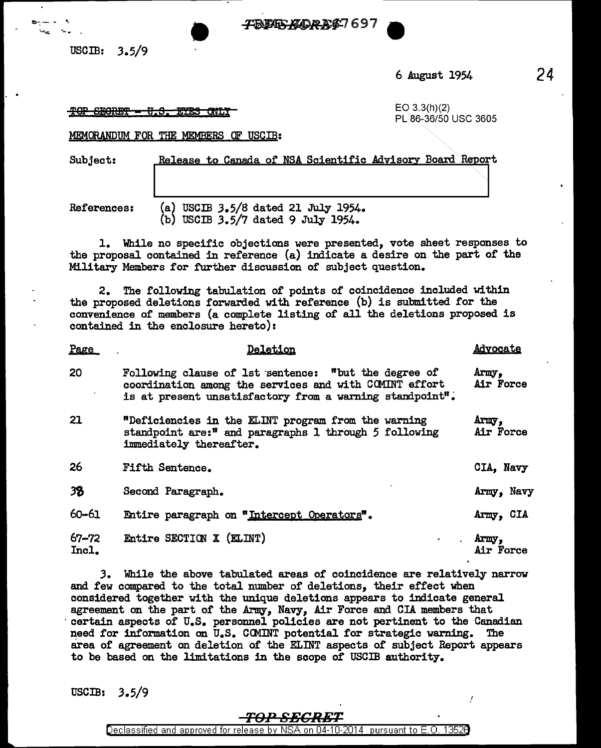FBBES ALDRES 697

USCIB: 3.5/9

·-~ -.

6 August 1954

24

## $\frac{1}{2}$ <del>9. SECRET = U.S. ETES QNLY</del>  $\frac{1}{2}$  example  $\frac{1}{2}$  EO 3.3(h)(2)

PL 86-36/50 USC 3605

MEMORANDUM FOR THE HEMBERS OF USCIB:

Subject: Release to Canada of NSA Scientific Advisory Board Report

 $P_{\text{max}}$ 

References: (a) USCIB 3.5/8 dated 21 July 1954. (b) USCIB 3.5/7 dated 9 July 1954.

1. While no specific objections were presented, vote sheet responses to the proposal contained in reference (a) indicate a desire on the part of the Military Members for further discussion of subject question.

2. The following tabulation of points of coincidence included within the proposed deletions forwarded with reference (b) is submitted for the convenience of members (a complete listing of all the deletions proposed is contained in the enclosure hereto):

| Page               | Deletion                                                                                                                                                                   | <b>Advocate</b>    |
|--------------------|----------------------------------------------------------------------------------------------------------------------------------------------------------------------------|--------------------|
| 20                 | Following clause of 1st sentence: "but the degree of<br>coordination among the services and with COMINT effort<br>is at present unsatisfactory from a warning standpoint". | Army.<br>Air Force |
| 21                 | "Deficiencies in the ELINT program from the warning<br>standpoint are:" and paragraphs 1 through 5 following<br>immediately thereafter.                                    | Army,<br>Air Force |
| 26                 | <b>Fifth Sentence.</b>                                                                                                                                                     | CIA, Navy          |
| 38                 | Second Paragraph.                                                                                                                                                          | Army, Navy         |
| 60-61              | Entire paragraph on "Intercept Operators".                                                                                                                                 | Army, CIA          |
| $67 - 72$<br>Incl. | Entire SECTION X (ELINT)<br>$\mathbf{z}$                                                                                                                                   | Army,<br>Air Force |

*3.* While the above tabulated areas of coincidence are relatively narrow and few compared to the total number of deletions, their effect when considered together with the unique deletions appears to indicate general agreement on the part of the Army, Navy, Air Force and CIA members that certain aspects of U.S. personnel policies are not pertinent to the Canadian need for information on U.S. COMINT potential for strategic warning. The area of agreement on deletion of the ELINT aspects of subject Report appears to be based on the limitations in the scope of USCIB authority.

 $\text{USCIB:} \quad 3.5/9$ 

## *T£hn SBCRET*

Declassified and approved for release by NSA on 04-10-2014 pursuant to E. 0. 1352B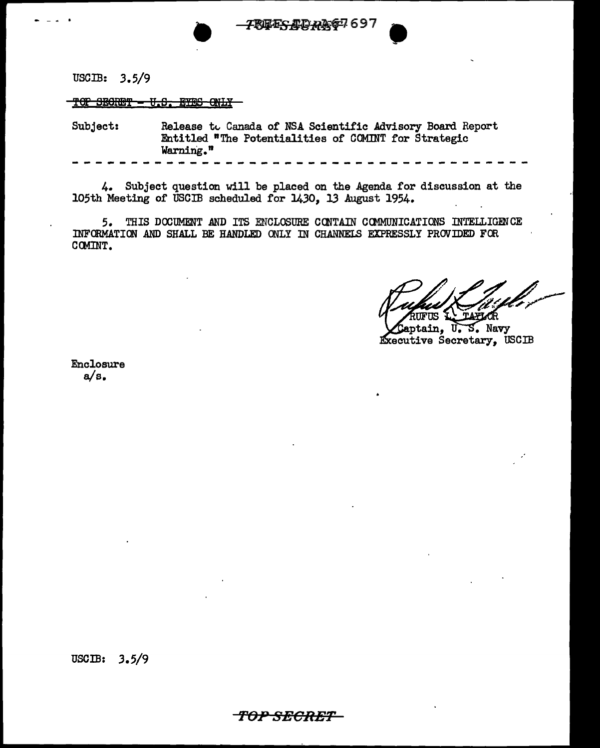-- ... . • ~697 •

USCIB: 3.5/9

TOP SECRET - U.S. EYES ONLY

Subject: Release to Canada of NSA Scientific Advisory Board Report Entitled "The Potentialities of COMINT for Strategic Warning."

4. Subject question will be placed on the Agenda for discussion at the 105th Meeting of USCIB scheduled for 1430, 13 August 1954.

--------------~------------------------

5. THIS DOOUMENT AND ITS ENCLOSURE CONTAIN CClOOJNICATIONS INTELLIGENCE INFORMATION AND SHALL BE HANDLED ONLY IN CHANNELS EXPRESSLY PROVIDED FOR CCMINT.

aptain, U.S. Navy Executive Secretary, USCIB

Enclosure a/s.

USCIB: 3.5/9

'FOPSECR£T